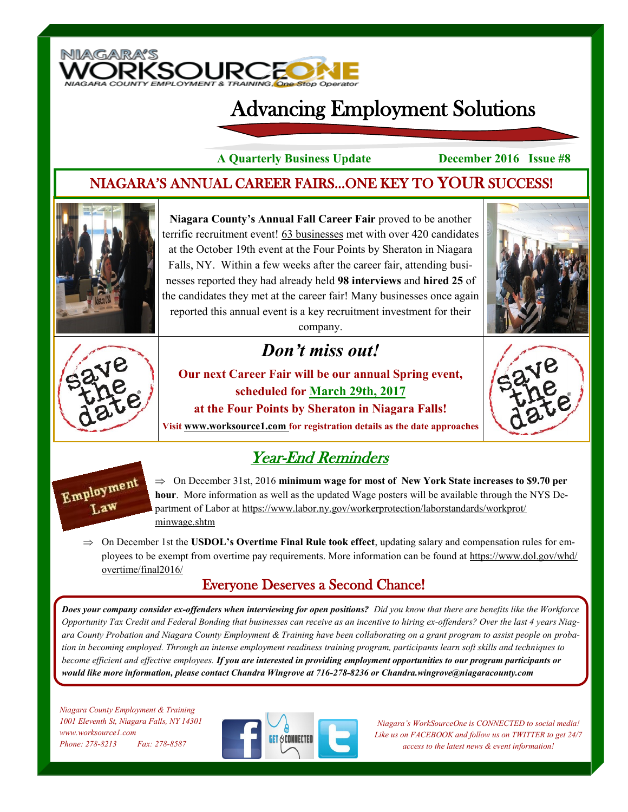

# Advancing Employment Solutions

**A Quarterly Business Update December 2016 Issue #8**

#### NIAGARA'S ANNUAL CAREER FAIRS...ONE KEY TO YOUR SUCCESS!



**Niagara County's Annual Fall Career Fair** proved to be another terrific recruitment event! 63 businesses met with over 420 candidates at the October 19th event at the Four Points by Sheraton in Niagara Falls, NY. Within a few weeks after the career fair, attending businesses reported they had already held **98 interviews** and **hired 25** of the candidates they met at the career fair! Many businesses once again reported this annual event is a key recruitment investment for their company.





## *Don't miss out!*

**Our next Career Fair will be our annual Spring event, scheduled for March 29th, 2017 at the Four Points by Sheraton in Niagara Falls!** 



**Visit www.worksource1.com for registration details as the date approaches**

### Year-End Reminders



 $\Rightarrow$  On December 31st, 2016 minimum wage for most of New York State increases to \$9.70 per **hour**. More information as well as the updated Wage posters will be available through the NYS Department of Labor at https://www.labor.ny.gov/workerprotection/laborstandards/workprot/ minwage.shtm

 $\Rightarrow$  On December 1st the **USDOL's Overtime Final Rule took effect**, updating salary and compensation rules for employees to be exempt from overtime pay requirements. More information can be found at https://www.dol.gov/whd/ overtime/final2016/

#### Everyone Deserves a Second Chance!

*Does your company consider ex-offenders when interviewing for open positions? Did you know that there are benefits like the Workforce Opportunity Tax Credit and Federal Bonding that businesses can receive as an incentive to hiring ex-offenders? Over the last 4 years Niagara County Probation and Niagara County Employment & Training have been collaborating on a grant program to assist people on probation in becoming employed. Through an intense employment readiness training program, participants learn soft skills and techniques to become efficient and effective employees. If you are interested in providing employment opportunities to our program participants or would like more information, please contact Chandra Wingrove at 716-278-8236 or Chandra.wingrove@niagaracounty.com*

*Niagara County Employment & Training 1001 Eleventh St, Niagara Falls, NY 14301 www.worksource1.com Phone: 278-8213 Fax: 278-8587*



*Niagara's WorkSourceOne is CONNECTED to social media! Like us on FACEBOOK and follow us on TWITTER to get 24/7 access to the latest news & event information!*